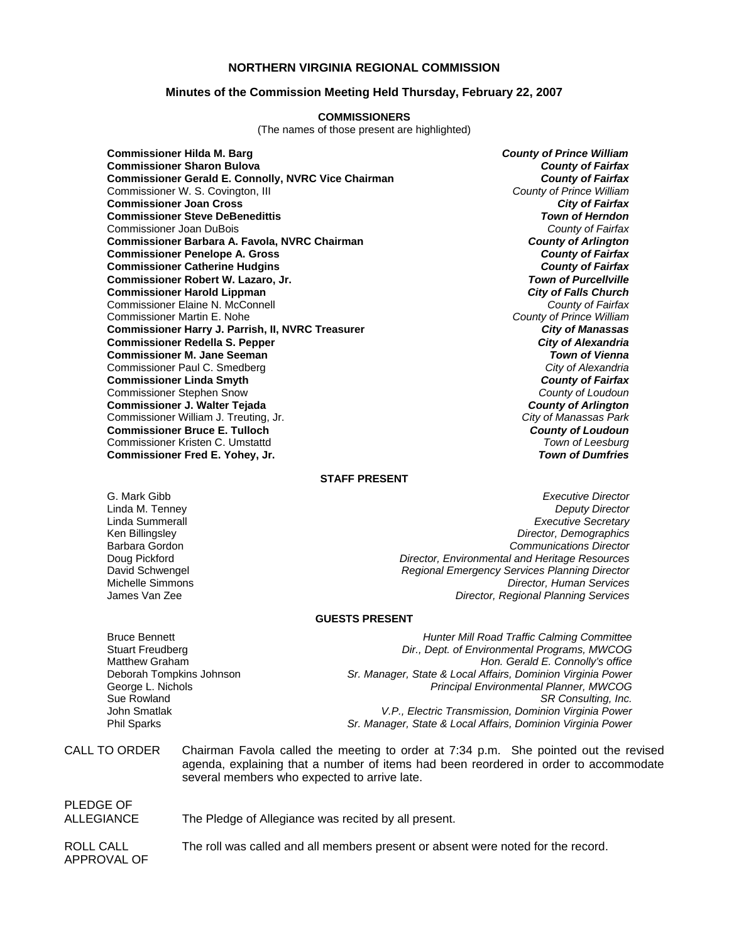## **NORTHERN VIRGINIA REGIONAL COMMISSION**

### **Minutes of the Commission Meeting Held Thursday, February 22, 2007**

#### **COMMISSIONERS**

(The names of those present are highlighted)

**Commissioner Hilda M. Barg** *County of Prince William* **Commissioner Sharon Bulova** *County of Fairfax* **Commissioner Gerald E. Connolly, NVRC Vice Chairman** *County of Fairfax**County of Fairfax**Commissioner W. S. Covington, III* Commissioner W. S. Covington, III *County of Prince William* **Commissioner Joan Cross** *City of Fairfax* **Commissioner Steve DeBenedittis** *Town of Herndon* Commissioner Joan DuBois *County of Fairfax* **Commissioner Barbara A. Favola, NVRC Chairman** *County of Arlington* **Commissioner Penelope A. Gross** *County of Fairfax* **Commissioner Catherine Hudgins** *County of Fairfax* **Commissioner Robert W. Lazaro, Jr.** *Town of Purcellville* **Commissioner Harold Lippman** *City of Falls Church* Commissioner Elaine N. McConnell *County of Fairfax* Commissioner Martin E. Nohe *County of Prince William* **Commissioner Harry J. Parrish, II, NVRC Treasurer** *City of Manassas* **Commissioner Redella S. Pepper** *City of Alexandria* **Commissioner M. Jane Seeman** *Town of Vienna* Commissioner Paul C. Smedberg *City of Alexandria* **Commissioner Linda Smyth** *County of Fairfax* Commissioner Stephen Snow *County of Loudoun* **Commissioner J. Walter Tejada** *County of Arlington* Commissioner William J. Treuting, Jr. *City of Manassas Park* **Commissioner Bruce E. Tulloch** *County of Loudoun* Commissioner Kristen C. Umstattd *Town of Leesburg* **Commissioner Fred E. Yohey, Jr.** *Town of Dumfries*

### **STAFF PRESENT**

G. Mark Gibb *Executive Director* **Deputy Director** Linda Summerall *Executive Secretary* Ken Billingsley *Director, Demographics* Barbara Gordon *Communications Director* Doug Pickford *Director, Environmental and Heritage Resources* David Schwengel *Regional Emergency Services Planning Director* Michelle Simmons *Director, Human Services* **Director, Regional Planning Services** 

#### **GUESTS PRESENT**

Bruce Bennett *Hunter Mill Road Traffic Calming Committee*  Dir., Dept. of Environmental Programs, MWCOG Matthew Graham *Hon. Gerald E. Connolly's office* Deborah Tompkins Johnson *Sr. Manager, State & Local Affairs, Dominion Virginia Power* George L. Nichols *Principal Environmental Planner, MWCOG* SR Consulting, Inc. John Smatlak *V.P., Electric Transmission, Dominion Virginia Power* Phil Sparks *Sr. Manager, State & Local Affairs, Dominion Virginia Power*

CALL TO ORDER Chairman Favola called the meeting to order at 7:34 p.m. She pointed out the revised agenda, explaining that a number of items had been reordered in order to accommodate several members who expected to arrive late.

## PLEDGE OF ALLEGIANCE The Pledge of Allegiance was recited by all present.

ROLL CALL The roll was called and all members present or absent were noted for the record. APPROVAL OF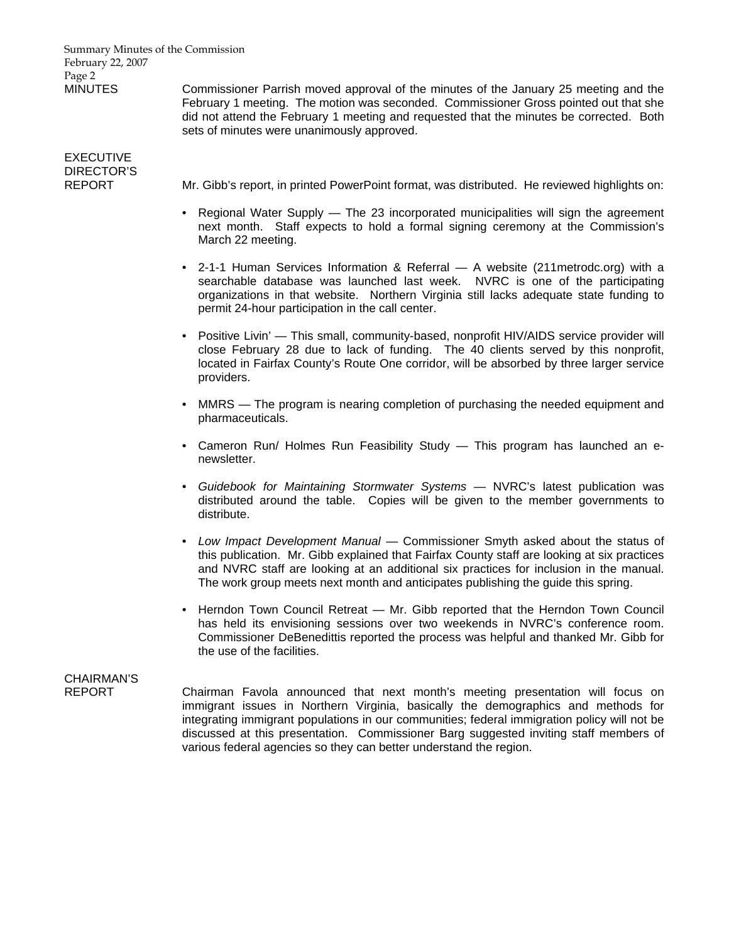Summary Minutes of the Commission February 22, 2007 Page 2

MINUTES Commissioner Parrish moved approval of the minutes of the January 25 meeting and the February 1 meeting. The motion was seconded. Commissioner Gross pointed out that she did not attend the February 1 meeting and requested that the minutes be corrected. Both sets of minutes were unanimously approved.

# EXECUTIVE DIRECTOR'S

REPORT Mr. Gibb's report, in printed PowerPoint format, was distributed. He reviewed highlights on:

- Regional Water Supply The 23 incorporated municipalities will sign the agreement next month. Staff expects to hold a formal signing ceremony at the Commission's March 22 meeting.
- 2-1-1 Human Services Information & Referral A website (211metrodc.org) with a searchable database was launched last week. NVRC is one of the participating organizations in that website. Northern Virginia still lacks adequate state funding to permit 24-hour participation in the call center.
- Positive Livin' This small, community-based, nonprofit HIV/AIDS service provider will close February 28 due to lack of funding. The 40 clients served by this nonprofit, located in Fairfax County's Route One corridor, will be absorbed by three larger service providers.
- MMRS The program is nearing completion of purchasing the needed equipment and pharmaceuticals.
- Cameron Run/ Holmes Run Feasibility Study This program has launched an enewsletter.
- *Guidebook for Maintaining Stormwater Systems* NVRC's latest publication was distributed around the table. Copies will be given to the member governments to distribute.
- *Low Impact Development Manual* Commissioner Smyth asked about the status of this publication. Mr. Gibb explained that Fairfax County staff are looking at six practices and NVRC staff are looking at an additional six practices for inclusion in the manual. The work group meets next month and anticipates publishing the guide this spring.
- Herndon Town Council Retreat Mr. Gibb reported that the Herndon Town Council has held its envisioning sessions over two weekends in NVRC's conference room. Commissioner DeBenedittis reported the process was helpful and thanked Mr. Gibb for the use of the facilities.

# CHAIRMAN'S

REPORT Chairman Favola announced that next month's meeting presentation will focus on immigrant issues in Northern Virginia, basically the demographics and methods for integrating immigrant populations in our communities; federal immigration policy will not be discussed at this presentation. Commissioner Barg suggested inviting staff members of various federal agencies so they can better understand the region.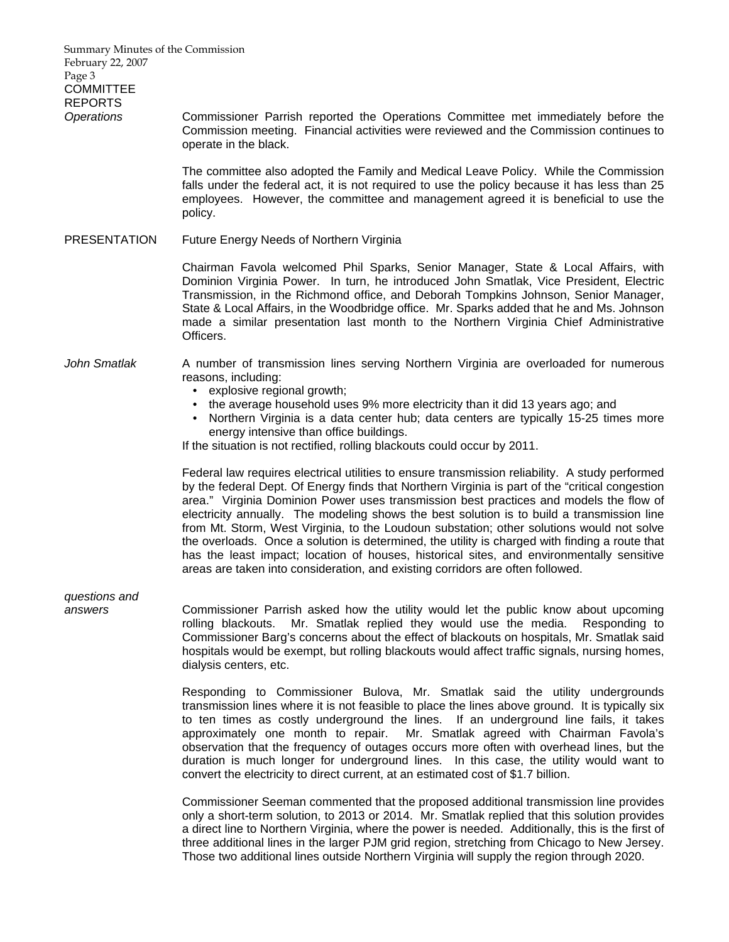Summary Minutes of the Commission February 22, 2007 Page 3 **COMMITTEE** REPORTS *Operations* Commissioner Parrish reported the Operations Committee met immediately before the Commission meeting. Financial activities were reviewed and the Commission continues to operate in the black. The committee also adopted the Family and Medical Leave Policy. While the Commission falls under the federal act, it is not required to use the policy because it has less than 25 employees. However, the committee and management agreed it is beneficial to use the policy. PRESENTATION Future Energy Needs of Northern Virginia Chairman Favola welcomed Phil Sparks, Senior Manager, State & Local Affairs, with Dominion Virginia Power. In turn, he introduced John Smatlak, Vice President, Electric Transmission, in the Richmond office, and Deborah Tompkins Johnson, Senior Manager, State & Local Affairs, in the Woodbridge office. Mr. Sparks added that he and Ms. Johnson made a similar presentation last month to the Northern Virginia Chief Administrative Officers. *John Smatlak* A number of transmission lines serving Northern Virginia are overloaded for numerous reasons, including: • explosive regional growth; • the average household uses 9% more electricity than it did 13 years ago; and • Northern Virginia is a data center hub; data centers are typically 15-25 times more energy intensive than office buildings. If the situation is not rectified, rolling blackouts could occur by 2011. Federal law requires electrical utilities to ensure transmission reliability. A study performed by the federal Dept. Of Energy finds that Northern Virginia is part of the "critical congestion area." Virginia Dominion Power uses transmission best practices and models the flow of electricity annually. The modeling shows the best solution is to build a transmission line from Mt. Storm, West Virginia, to the Loudoun substation; other solutions would not solve the overloads. Once a solution is determined, the utility is charged with finding a route that has the least impact; location of houses, historical sites, and environmentally sensitive areas are taken into consideration, and existing corridors are often followed. *questions and answers* Commissioner Parrish asked how the utility would let the public know about upcoming rolling blackouts. Mr. Smatlak replied they would use the media. Responding to Commissioner Barg's concerns about the effect of blackouts on hospitals, Mr. Smatlak said hospitals would be exempt, but rolling blackouts would affect traffic signals, nursing homes, dialysis centers, etc. Responding to Commissioner Bulova, Mr. Smatlak said the utility undergrounds transmission lines where it is not feasible to place the lines above ground. It is typically six to ten times as costly underground the lines. If an underground line fails, it takes approximately one month to repair. Mr. Smatlak agreed with Chairman Favola's observation that the frequency of outages occurs more often with overhead lines, but the duration is much longer for underground lines. In this case, the utility would want to convert the electricity to direct current, at an estimated cost of \$1.7 billion. Commissioner Seeman commented that the proposed additional transmission line provides

only a short-term solution, to 2013 or 2014. Mr. Smatlak replied that this solution provides a direct line to Northern Virginia, where the power is needed. Additionally, this is the first of three additional lines in the larger PJM grid region, stretching from Chicago to New Jersey. Those two additional lines outside Northern Virginia will supply the region through 2020.